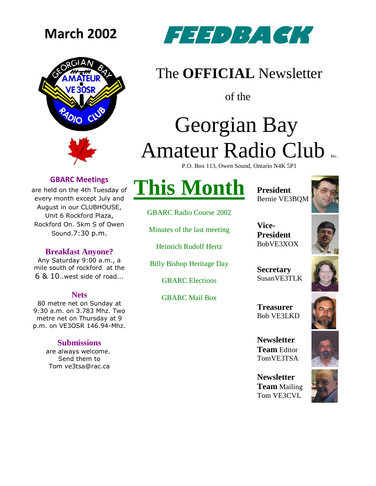



### **March 2002 FEED BACK**

### The **OFFICIAL** Newsletter

of the

## Georgian Bay Amateur Radio Club

P.O. Box 113, Owen Sound, Ontario N4K 5P1

### **GBARC Meetings**

are held on the 4th Tuesday of every month except July and August in our CLUBHOUSE, Unit 6 Rockford Plaza, Rockford On. 5km S of Owen Sound.7:30 p.m.

### **Breakfast Anyone?**

Any Saturday 9:00 a.m., a mile south of rockford at the 6 & 10..west side of road...

### **Nets**

80 metre net on Sunday at 9:30 a.m. on 3.783 Mhz. Two metre net on Thursday at 9 p.m. on VE3OSR 146.94-Mhz.

### **Submissions**

are always welcome. Send them to Tom ve3tsa@rac.ca

## **This Month**

GBARC Radio Course 2002

Minutes of the last meeting

Heinrich Rudolf Hertz

Billy Bishop Heritage Day

GBARC Elections

GBARC Mail Box

**President** Bernie VE3BQM



**Vice-President** BobVE3XOX



**Secretary** SusanVE3TLK



**Newsletter Team** Editor TomVE3TSA

**Newsletter Team** Mailing Tom VE3CVL



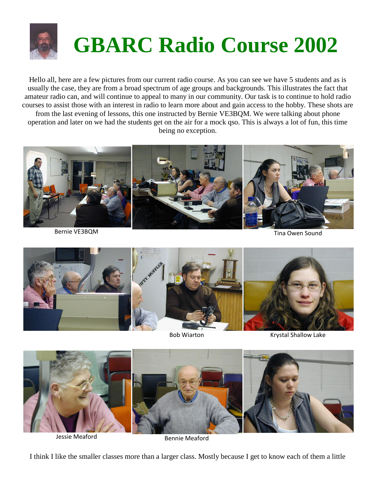

# **GBARC Radio Course 2002**

Hello all, here are a few pictures from our current radio course. As you can see we have 5 students and as is usually the case, they are from a broad spectrum of age groups and backgrounds. This illustrates the fact that amateur radio can, and will continue to appeal to many in our community. Our task is to continue to hold radio courses to assist those with an interest in radio to learn more about and gain access to the hobby. These shots are from the last evening of lessons, this one instructed by Bernie VE3BQM. We were talking about phone operation and later on we had the students get on the air for a mock qso. This is always a lot of fun, this time being no exception.



Bernie VE3BQM Tina Owen Sound



Bob Wiarton **Krystal Shallow Lake** 



Jessie Meaford Bennie Meaford

I think I like the smaller classes more than a larger class. Mostly because I get to know each of them a little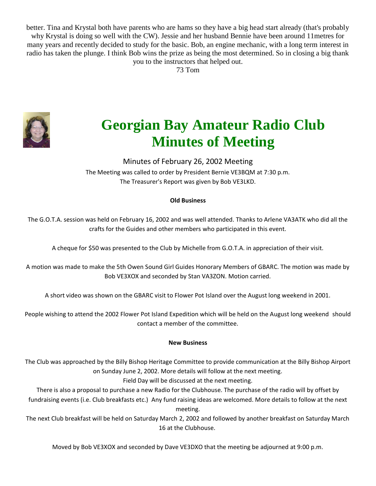better. Tina and Krystal both have parents who are hams so they have a big head start already (that's probably why Krystal is doing so well with the CW). Jessie and her husband Bennie have been around 11metres for many years and recently decided to study for the basic. Bob, an engine mechanic, with a long term interest in radio has taken the plunge. I think Bob wins the prize as being the most determined. So in closing a big thank you to the instructors that helped out.

73 Tom



### **Georgian Bay Amateur Radio Club Minutes of Meeting**

Minutes of February 26, 2002 Meeting

The Meeting was called to order by President Bernie VE3BQM at 7:30 p.m. The Treasurer's Report was given by Bob VE3LKD.

#### **Old Business**

The G.O.T.A. session was held on February 16, 2002 and was well attended. Thanks to Arlene VA3ATK who did all the crafts for the Guides and other members who participated in this event.

A cheque for \$50 was presented to the Club by Michelle from G.O.T.A. in appreciation of their visit.

A motion was made to make the 5th Owen Sound Girl Guides Honorary Members of GBARC. The motion was made by Bob VE3XOX and seconded by Stan VA3ZON. Motion carried.

A short video was shown on the GBARC visit to Flower Pot Island over the August long weekend in 2001.

People wishing to attend the 2002 Flower Pot Island Expedition which will be held on the August long weekend should contact a member of the committee.

#### **New Business**

The Club was approached by the Billy Bishop Heritage Committee to provide communication at the Billy Bishop Airport on Sunday June 2, 2002. More details will follow at the next meeting.

Field Day will be discussed at the next meeting.

There is also a proposal to purchase a new Radio for the Clubhouse. The purchase of the radio will by offset by fundraising events (i.e. Club breakfasts etc.) Any fund raising ideas are welcomed. More details to follow at the next meeting.

The next Club breakfast will be held on Saturday March 2, 2002 and followed by another breakfast on Saturday March 16 at the Clubhouse.

Moved by Bob VE3XOX and seconded by Dave VE3DXO that the meeting be adjourned at 9:00 p.m.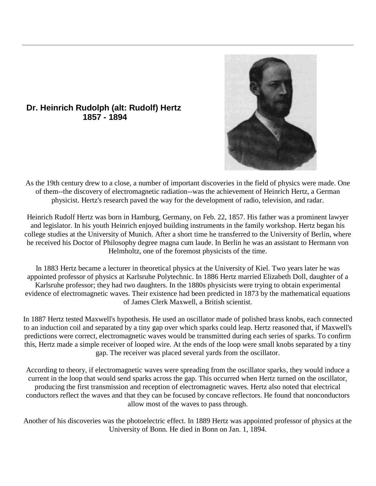

### **Dr. Heinrich Rudolph (alt: Rudolf) Hertz 1857 - 1894**

As the 19th century drew to a close, a number of important discoveries in the field of physics were made. One of them--the discovery of electromagnetic radiation--was the achievement of Heinrich Hertz, a German physicist. Hertz's research paved the way for the development of radio, television, and radar.

Heinrich Rudolf Hertz was born in Hamburg, Germany, on Feb. 22, 1857. His father was a prominent lawyer and legislator. In his youth Heinrich enjoyed building instruments in the family workshop. Hertz began his college studies at the University of Munich. After a short time he transferred to the University of Berlin, where he received his Doctor of Philosophy degree magna cum laude. In Berlin he was an assistant to Hermann von Helmholtz, one of the foremost physicists of the time.

In 1883 Hertz became a lecturer in theoretical physics at the University of Kiel. Two years later he was appointed professor of physics at Karlsruhe Polytechnic. In 1886 Hertz married Elizabeth Doll, daughter of a Karlsruhe professor; they had two daughters. In the 1880s physicists were trying to obtain experimental evidence of electromagnetic waves. Their existence had been predicted in 1873 by the mathematical equations of James Clerk Maxwell, a British scientist.

In 1887 Hertz tested Maxwell's hypothesis. He used an oscillator made of polished brass knobs, each connected to an induction coil and separated by a tiny gap over which sparks could leap. Hertz reasoned that, if Maxwell's predictions were correct, electromagnetic waves would be transmitted during each series of sparks. To confirm this, Hertz made a simple receiver of looped wire. At the ends of the loop were small knobs separated by a tiny gap. The receiver was placed several yards from the oscillator.

According to theory, if electromagnetic waves were spreading from the oscillator sparks, they would induce a current in the loop that would send sparks across the gap. This occurred when Hertz turned on the oscillator, producing the first transmission and reception of electromagnetic waves. Hertz also noted that electrical conductors reflect the waves and that they can be focused by concave reflectors. He found that nonconductors allow most of the waves to pass through.

Another of his discoveries was the photoelectric effect. In 1889 Hertz was appointed professor of physics at the University of Bonn. He died in Bonn on Jan. 1, 1894.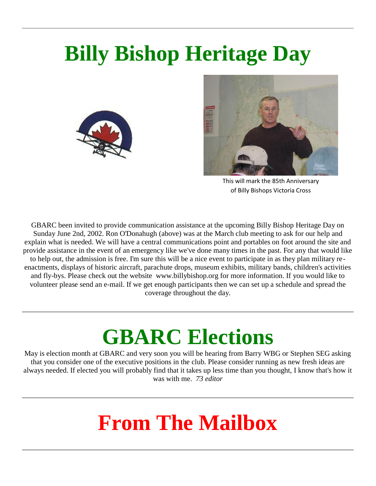### **Billy Bishop Heritage Day**





This will mark the 85th Anniversary of Billy Bishops Victoria Cross

GBARC been invited to provide communication assistance at the upcoming Billy Bishop Heritage Day on Sunday June 2nd, 2002. Ron O'Donahugh (above) was at the March club meeting to ask for our help and explain what is needed. We will have a central communications point and portables on foot around the site and provide assistance in the event of an emergency like we've done many times in the past. For any that would like to help out, the admission is free. I'm sure this will be a nice event to participate in as they plan military reenactments, displays of historic aircraft, parachute drops, museum exhibits, military bands, children's activities and fly-bys. Please check out the website www.billybishop.org for more information. If you would like to volunteer please send an e-mail. If we get enough participants then we can set up a schedule and spread the coverage throughout the day.

### **GBARC Elections**

May is election month at GBARC and very soon you will be hearing from Barry WBG or Stephen SEG asking that you consider one of the executive positions in the club. Please consider running as new fresh ideas are always needed. If elected you will probably find that it takes up less time than you thought, I know that's how it was with me. *73 editor*

### **From The Mailbox**